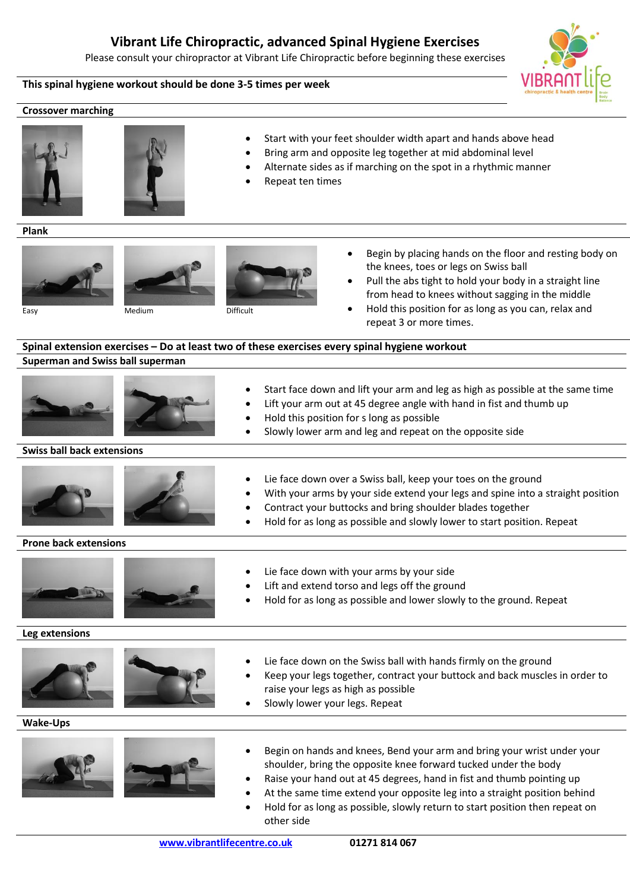# **Vibrant Life Chiropractic, advanced Spinal Hygiene Exercises**

Please consult your chiropractor at Vibrant Life Chiropractic before beginning these exercises

**This spinal hygiene workout should be done 3-5 times per week**

## **Crossover marching**





- Start with your feet shoulder width apart and hands above head
- Bring arm and opposite leg together at mid abdominal level
- Alternate sides as if marching on the spot in a rhythmic manner
- Repeat ten times

### **Plank**







- Begin by placing hands on the floor and resting body on the knees, toes or legs on Swiss ball
- Pull the abs tight to hold your body in a straight line from head to knees without sagging in the middle

Easy Medium Difficult

 Hold this position for as long as you can, relax and repeat 3 or more times.

# **Spinal extension exercises – Do at least two of these exercises every spinal hygiene workout Superman and Swiss ball superman**





- Lift your arm out at 45 degree angle with hand in fist and thumb up
- Hold this position for s long as possible
- Slowly lower arm and leg and repeat on the opposite side

## **Swiss ball back extensions**





- Lie face down over a Swiss ball, keep your toes on the ground
- With your arms by your side extend your legs and spine into a straight position

Start face down and lift your arm and leg as high as possible at the same time

- Contract your buttocks and bring shoulder blades together
- Hold for as long as possible and slowly lower to start position. Repeat

# **Prone back extensions**





- Lie face down with your arms by your side
	- Lift and extend torso and legs off the ground
- Hold for as long as possible and lower slowly to the ground. Repeat

**Leg extensions**





- Lie face down on the Swiss ball with hands firmly on the ground
- Keep your legs together, contract your buttock and back muscles in order to raise your legs as high as possible
- Slowly lower your legs. Repeat

**Wake-Ups**





- Begin on hands and knees, Bend your arm and bring your wrist under your shoulder, bring the opposite knee forward tucked under the body
- Raise your hand out at 45 degrees, hand in fist and thumb pointing up
- At the same time extend your opposite leg into a straight position behind
- Hold for as long as possible, slowly return to start position then repeat on other side